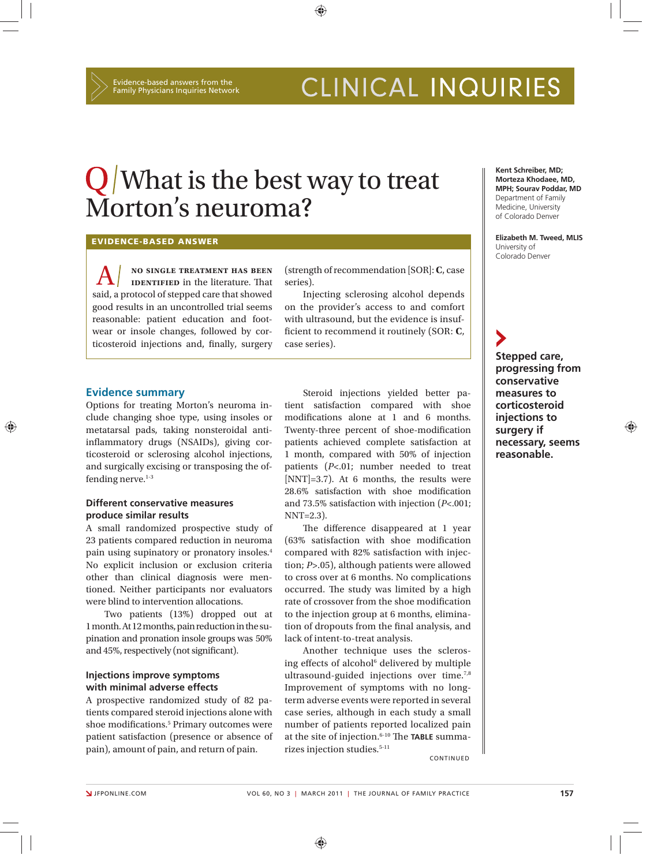# Q What is the best way to treat Morton's neuroma?

⊕

**EVIDENCE-BASED ANSWER**

A **no single treatment has been IDENTIFIED** in the literature. That said, a protocol of stepped care that showed good results in an uncontrolled trial seems reasonable: patient education and footwear or insole changes, followed by corticosteroid injections and, finally, surgery

(strength of recommendation [SOR]: **C**, case series).

Injecting sclerosing alcohol depends on the provider's access to and comfort with ultrasound, but the evidence is insufficient to recommend it routinely (SOR: C, case series).

#### **Evidence summary**

Options for treating Morton's neuroma include changing shoe type, using insoles or metatarsal pads, taking nonsteroidal antiinflammatory drugs (NSAIDs), giving corticosteroid or sclerosing alcohol injections, and surgically excising or transposing the offending nerve. $1-3$ 

# **Different conservative measures produce similar results**

A small randomized prospective study of 23 patients compared reduction in neuroma pain using supinatory or pronatory insoles.4 No explicit inclusion or exclusion criteria other than clinical diagnosis were mentioned. Neither participants nor evaluators were blind to intervention allocations.

Two patients (13%) dropped out at 1 month. At 12 months, pain reduction in the supination and pronation insole groups was 50% and 45%, respectively (not significant).

## **Injections improve symptoms with minimal adverse effects**

A prospective randomized study of 82 patients compared steroid injections alone with shoe modifications.<sup>5</sup> Primary outcomes were patient satisfaction (presence or absence of pain), amount of pain, and return of pain.

Steroid injections yielded better patient satisfaction compared with shoe modifications alone at 1 and 6 months. Twenty-three percent of shoe-modification patients achieved complete satisfaction at 1 month, compared with 50% of injection patients (*P*<.01; number needed to treat  $[NNT]=3.7$ ). At 6 months, the results were 28.6% satisfaction with shoe modification and 73.5% satisfaction with injection (*P*<.001; NNT=2.3).

The difference disappeared at 1 year  $(63\%$  satisfaction with shoe modification compared with 82% satisfaction with injection; *P*>.05), although patients were allowed to cross over at 6 months. No complications occurred. The study was limited by a high rate of crossover from the shoe modification to the injection group at 6 months, elimination of dropouts from the final analysis, and lack of intent-to-treat analysis.

Another technique uses the sclerosing effects of alcohol<sup>6</sup> delivered by multiple ultrasound-guided injections over time.7,8 Improvement of symptoms with no longterm adverse events were reported in several case series, although in each study a small number of patients reported localized pain at the site of injection.<sup>6-10</sup> The TABLE summarizes injection studies.5-11

**CONTINUED** 

**Kent Schreiber, MD; Morteza Khodaee, MD, MPH; Sourav Poddar, MD** Department of Family Medicine, University of Colorado Denver

**Elizabeth M. Tweed, MLIS**  University of Colorado Denver

**Stepped care, progressing from conservative measures to corticosteroid injections to surgery if necessary, seems reasonable.**

⊕

⊕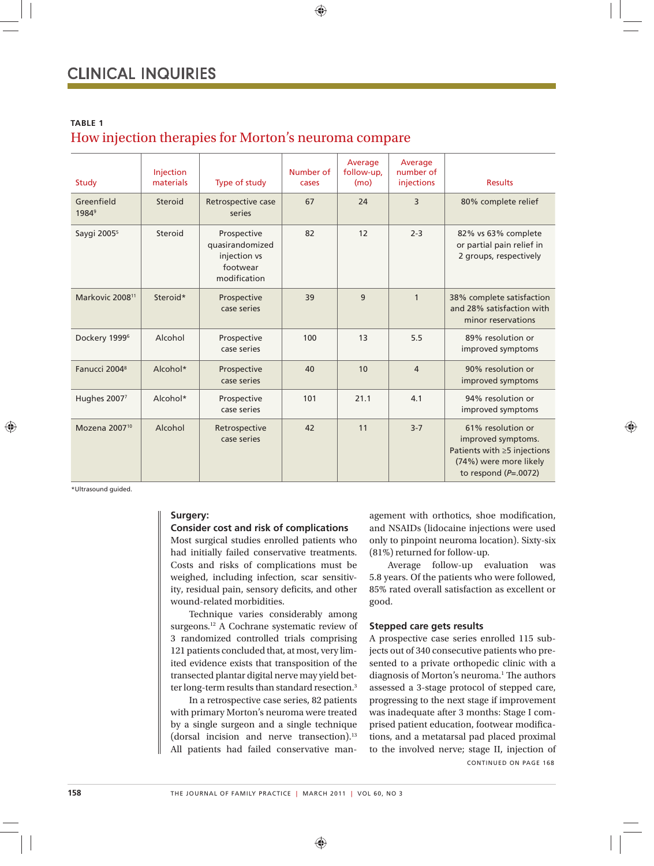# **TABLE 1**

# How injection therapies for Morton's neuroma compare

| Study                           | Injection<br>materials | Type of study                                                              | Number of<br>cases | Average<br>follow-up,<br>(mo) | Average<br>number of<br>injections | <b>Results</b>                                                                                                                   |
|---------------------------------|------------------------|----------------------------------------------------------------------------|--------------------|-------------------------------|------------------------------------|----------------------------------------------------------------------------------------------------------------------------------|
| Greenfield<br>1984 <sup>9</sup> | Steroid                | Retrospective case<br>series                                               | 67                 | 24                            | 3                                  | 80% complete relief                                                                                                              |
| Saygi 2005 <sup>5</sup>         | Steroid                | Prospective<br>quasirandomized<br>injection vs<br>footwear<br>modification | 82                 | 12                            | $2 - 3$                            | 82% vs 63% complete<br>or partial pain relief in<br>2 groups, respectively                                                       |
| Markovic 2008 <sup>11</sup>     | Steroid*               | Prospective<br>case series                                                 | 39                 | 9                             | $\mathbf{1}$                       | 38% complete satisfaction<br>and 28% satisfaction with<br>minor reservations                                                     |
| Dockery 1999 <sup>6</sup>       | Alcohol                | Prospective<br>case series                                                 | 100                | 13                            | 5.5                                | 89% resolution or<br>improved symptoms                                                                                           |
| Fanucci 2004 <sup>8</sup>       | Alcohol*               | Prospective<br>case series                                                 | 40                 | 10                            | $\overline{4}$                     | 90% resolution or<br>improved symptoms                                                                                           |
| Hughes 20077                    | Alcohol*               | Prospective<br>case series                                                 | 101                | 21.1                          | 4.1                                | 94% resolution or<br>improved symptoms                                                                                           |
| Mozena 2007 <sup>10</sup>       | Alcohol                | Retrospective<br>case series                                               | 42                 | 11                            | $3 - 7$                            | 61% resolution or<br>improved symptoms.<br>Patients with $\geq$ 5 injections<br>(74%) were more likely<br>to respond $(P=.0072)$ |

⊕

\*Ultrasound guided.

#### **Surgery:**

#### **Consider cost and risk of complications**

Most surgical studies enrolled patients who had initially failed conservative treatments. Costs and risks of complications must be weighed, including infection, scar sensitivity, residual pain, sensory deficits, and other wound-related morbidities.

Technique varies considerably among surgeons.12 A Cochrane systematic review of 3 randomized controlled trials comprising 121 patients concluded that, at most, very limited evidence exists that transposition of the transected plantar digital nerve may yield better long-term results than standard resection.<sup>3</sup>

In a retrospective case series, 82 patients with primary Morton's neuroma were treated by a single surgeon and a single technique (dorsal incision and nerve transection).<sup>13</sup> All patients had failed conservative management with orthotics, shoe modification, and NSAIDs (lidocaine injections were used only to pinpoint neuroma location). Sixty-six (81%) returned for follow-up.

Average follow-up evaluation was 5.8 years. Of the patients who were followed, 85% rated overall satisfaction as excellent or good.

#### **Stepped care gets results**

A prospective case series enrolled 115 subjects out of 340 consecutive patients who presented to a private orthopedic clinic with a diagnosis of Morton's neuroma.<sup>1</sup> The authors assessed a 3-stage protocol of stepped care, progressing to the next stage if improvement was inadequate after 3 months: Stage I comprised patient education, footwear modifications, and a metatarsal pad placed proximal to the involved nerve; stage II, injection of CONTINUED ON PAGE 168

⊕